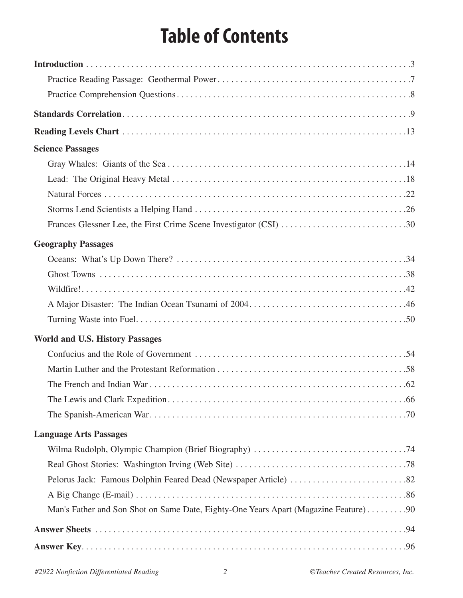# **Table of Contents**

| <b>Science Passages</b>                                                             |
|-------------------------------------------------------------------------------------|
|                                                                                     |
|                                                                                     |
|                                                                                     |
|                                                                                     |
|                                                                                     |
| <b>Geography Passages</b>                                                           |
|                                                                                     |
|                                                                                     |
|                                                                                     |
|                                                                                     |
|                                                                                     |
| <b>World and U.S. History Passages</b>                                              |
|                                                                                     |
|                                                                                     |
|                                                                                     |
|                                                                                     |
|                                                                                     |
| <b>Language Arts Passages</b>                                                       |
|                                                                                     |
|                                                                                     |
|                                                                                     |
|                                                                                     |
| Man's Father and Son Shot on Same Date, Eighty-One Years Apart (Magazine Feature)90 |
|                                                                                     |
|                                                                                     |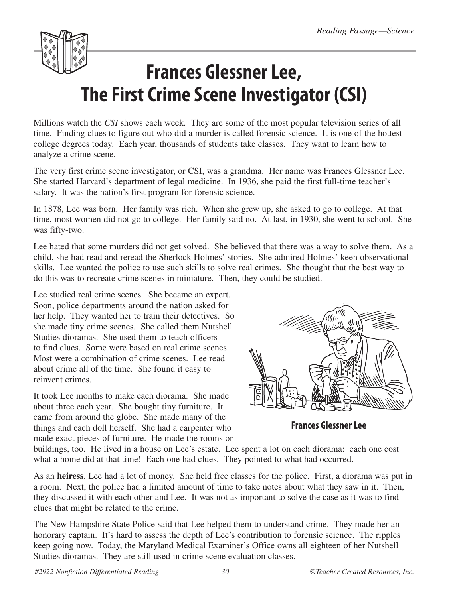

Millions watch the *CSI* shows each week. They are some of the most popular television series of all time. Finding clues to figure out who did a murder is called forensic science. It is one of the hottest college degrees today. Each year, thousands of students take classes. They want to learn how to analyze a crime scene.

The very first crime scene investigator, or CSI, was a grandma. Her name was Frances Glessner Lee. She started Harvard's department of legal medicine. In 1936, she paid the first full-time teacher's salary. It was the nation's first program for forensic science.

In 1878, Lee was born. Her family was rich. When she grew up, she asked to go to college. At that time, most women did not go to college. Her family said no. At last, in 1930, she went to school. She was fifty-two.

Lee hated that some murders did not get solved. She believed that there was a way to solve them. As a child, she had read and reread the Sherlock Holmes' stories. She admired Holmes' keen observational skills. Lee wanted the police to use such skills to solve real crimes. She thought that the best way to do this was to recreate crime scenes in miniature. Then, they could be studied.

Lee studied real crime scenes. She became an expert. Soon, police departments around the nation asked for her help. They wanted her to train their detectives. So she made tiny crime scenes. She called them Nutshell Studies dioramas. She used them to teach officers to find clues. Some were based on real crime scenes. Most were a combination of crime scenes. Lee read about crime all of the time. She found it easy to reinvent crimes.

It took Lee months to make each diorama. She made about three each year. She bought tiny furniture. It came from around the globe. She made many of the things and each doll herself. She had a carpenter who made exact pieces of furniture. He made the rooms or



**Frances Glessner Lee**

buildings, too. He lived in a house on Lee's estate. Lee spent a lot on each diorama: each one cost what a home did at that time! Each one had clues. They pointed to what had occurred.

As an **heiress**, Lee had a lot of money. She held free classes for the police. First, a diorama was put in a room. Next, the police had a limited amount of time to take notes about what they saw in it. Then, they discussed it with each other and Lee. It was not as important to solve the case as it was to find clues that might be related to the crime.

The New Hampshire State Police said that Lee helped them to understand crime. They made her an honorary captain. It's hard to assess the depth of Lee's contribution to forensic science. The ripples keep going now. Today, the Maryland Medical Examiner's Office owns all eighteen of her Nutshell Studies dioramas. They are still used in crime scene evaluation classes.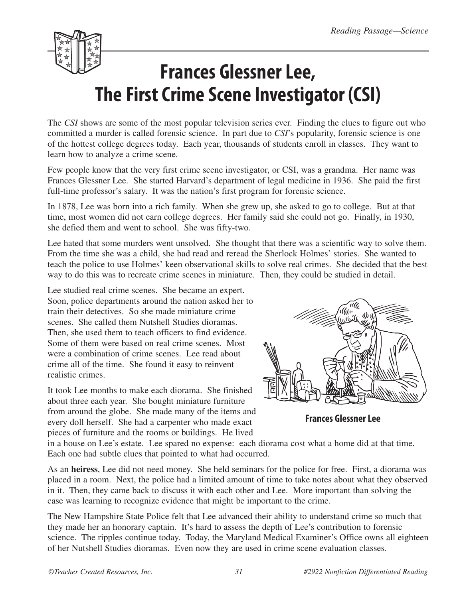

The *CSI* shows are some of the most popular television series ever. Finding the clues to figure out who committed a murder is called forensic science. In part due to *CSI*'s popularity, forensic science is one of the hottest college degrees today. Each year, thousands of students enroll in classes. They want to learn how to analyze a crime scene.

Few people know that the very first crime scene investigator, or CSI, was a grandma. Her name was Frances Glessner Lee. She started Harvard's department of legal medicine in 1936. She paid the first full-time professor's salary. It was the nation's first program for forensic science.

In 1878, Lee was born into a rich family. When she grew up, she asked to go to college. But at that time, most women did not earn college degrees. Her family said she could not go. Finally, in 1930, she defied them and went to school. She was fifty-two.

Lee hated that some murders went unsolved. She thought that there was a scientific way to solve them. From the time she was a child, she had read and reread the Sherlock Holmes' stories. She wanted to teach the police to use Holmes' keen observational skills to solve real crimes. She decided that the best way to do this was to recreate crime scenes in miniature. Then, they could be studied in detail.

Lee studied real crime scenes. She became an expert. Soon, police departments around the nation asked her to train their detectives. So she made miniature crime scenes. She called them Nutshell Studies dioramas. Then, she used them to teach officers to find evidence. Some of them were based on real crime scenes. Most were a combination of crime scenes. Lee read about crime all of the time. She found it easy to reinvent realistic crimes.

It took Lee months to make each diorama. She finished about three each year. She bought miniature furniture from around the globe. She made many of the items and every doll herself. She had a carpenter who made exact pieces of furniture and the rooms or buildings. He lived



**Frances Glessner Lee**

in a house on Lee's estate. Lee spared no expense: each diorama cost what a home did at that time. Each one had subtle clues that pointed to what had occurred.

As an **heiress**, Lee did not need money. She held seminars for the police for free. First, a diorama was placed in a room. Next, the police had a limited amount of time to take notes about what they observed in it. Then, they came back to discuss it with each other and Lee. More important than solving the case was learning to recognize evidence that might be important to the crime.

The New Hampshire State Police felt that Lee advanced their ability to understand crime so much that they made her an honorary captain. It's hard to assess the depth of Lee's contribution to forensic science. The ripples continue today. Today, the Maryland Medical Examiner's Office owns all eighteen of her Nutshell Studies dioramas. Even now they are used in crime scene evaluation classes.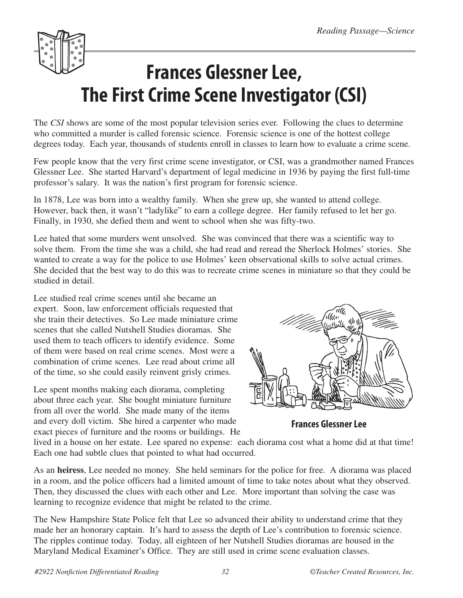

The *CSI* shows are some of the most popular television series ever. Following the clues to determine who committed a murder is called forensic science. Forensic science is one of the hottest college degrees today. Each year, thousands of students enroll in classes to learn how to evaluate a crime scene.

Few people know that the very first crime scene investigator, or CSI, was a grandmother named Frances Glessner Lee. She started Harvard's department of legal medicine in 1936 by paying the first full-time professor's salary. It was the nation's first program for forensic science.

In 1878, Lee was born into a wealthy family. When she grew up, she wanted to attend college. However, back then, it wasn't "ladylike" to earn a college degree. Her family refused to let her go. Finally, in 1930, she defied them and went to school when she was fifty-two.

Lee hated that some murders went unsolved. She was convinced that there was a scientific way to solve them. From the time she was a child, she had read and reread the Sherlock Holmes' stories. She wanted to create a way for the police to use Holmes' keen observational skills to solve actual crimes. She decided that the best way to do this was to recreate crime scenes in miniature so that they could be studied in detail.

Lee studied real crime scenes until she became an expert. Soon, law enforcement officials requested that she train their detectives. So Lee made miniature crime scenes that she called Nutshell Studies dioramas. She used them to teach officers to identify evidence. Some of them were based on real crime scenes. Most were a combination of crime scenes. Lee read about crime all of the time, so she could easily reinvent grisly crimes.

Lee spent months making each diorama, completing about three each year. She bought miniature furniture from all over the world. She made many of the items and every doll victim. She hired a carpenter who made exact pieces of furniture and the rooms or buildings. He



**Frances Glessner Lee**

lived in a house on her estate. Lee spared no expense: each diorama cost what a home did at that time! Each one had subtle clues that pointed to what had occurred.

As an **heiress**, Lee needed no money. She held seminars for the police for free. A diorama was placed in a room, and the police officers had a limited amount of time to take notes about what they observed. Then, they discussed the clues with each other and Lee. More important than solving the case was learning to recognize evidence that might be related to the crime.

The New Hampshire State Police felt that Lee so advanced their ability to understand crime that they made her an honorary captain. It's hard to assess the depth of Lee's contribution to forensic science. The ripples continue today. Today, all eighteen of her Nutshell Studies dioramas are housed in the Maryland Medical Examiner's Office. They are still used in crime scene evaluation classes.